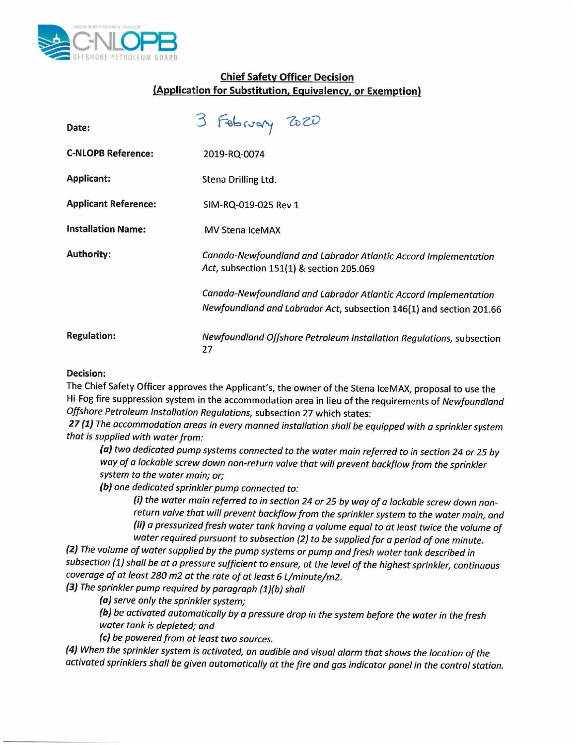

## **Chief Safety Officer Decision (Application for Substitution, Equivalency, or Exemption)**

| Date:                       | 3 February 2020                                                                                                                        |
|-----------------------------|----------------------------------------------------------------------------------------------------------------------------------------|
| <b>C-NLOPB Reference:</b>   | 2019-RQ-0074                                                                                                                           |
| <b>Applicant:</b>           | Stena Drilling Ltd.                                                                                                                    |
| <b>Applicant Reference:</b> | SIM-RQ-019-025 Rev 1                                                                                                                   |
| <b>Installation Name:</b>   | <b>MV Stena IceMAX</b>                                                                                                                 |
| <b>Authority:</b>           | Canada-Newfoundland and Labrador Atlantic Accord Implementation<br>Act, subsection 151(1) & section 205.069                            |
|                             | Canada-Newfoundland and Labrador Atlantic Accord Implementation<br>Newfoundland and Labrador Act, subsection 146(1) and section 201.66 |
| <b>Regulation:</b>          | Newfoundland Offshore Petroleum Installation Regulations, subsection<br>27                                                             |

## **Decision:**

The Chief Safety Officer approves the Applicant's, the owner of the Stena IceMAX, proposal to use the Hi-Fog fire suppression system in the accommodation area in lieu of the requirements of *Newfoundland Offshore Petroleum Installation Regulations,* subsection 27 which states:

**27 (1)** *The accommodation areas in every manned installation shall be equipped with a sprinkler system that is supplied with water from:*

*(a) two dedicated pump systems connected* to *the water main referred* to *in section* 24 *or* 25 *by way of a lockable screw down non-return valve that will prevent backflow from the sprinkler system* to *the water main; or;*

*(b) one dedicated sprinkler pump connected to:*

*(i) the water main referred* to *in section* 24 *or* 25 *by way of a lockable screw down nonreturn valve that will prevent backflow from the sprinkler system* to *the water main, and (ii) a pressurized fresh water tank having a volume equal* to *at least twice the volume of water required pursuant* to *subsection* (2) to *be supplied for a period of one minute.*

*(2) The volume of water supplied by the pump systems or pump and fresh water tank described in subsection* (1) *shall be at a pressure sufficient* to *ensure, at the level of the highest sprinkler, continuous coverage of at least 280* m2 *at the rate of at least* 6 *L/minute/m2.*

*(3) The sprinkler pump required by paragraph (l)(b) shall*

*(a) serve only the sprinkler system;*

*(b) be activated automatically by a pressure drop in the system before the water in the fresh water tank is depleted; and*

*(e) be powered from at least two sources.*

(4) When the sprinkler system is activated, an audible and visual alarm that shows the location of the activated sprinklers shall be given automatically at the fire and gas indicator panel in the control station.